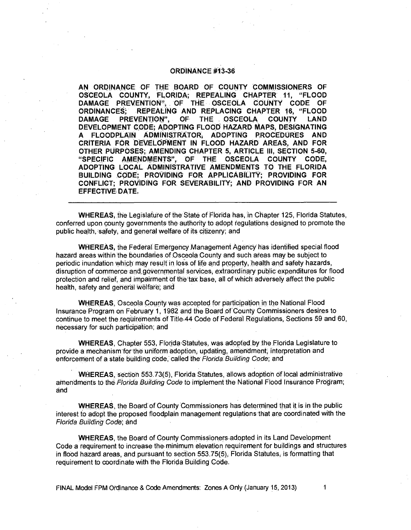#### **ORDINANCE #13-36**

**AN ORDINANCE OF THE BOARD OF COUNTY COMMISSIONERS OF OSCEOLA COUNTY, 'FLORIDA; REPEALING CHAPTER 11, "FLOOD DAMAGE PREVENTION", OF THE OSCEOLA COUNTY CODE OF ORDINANCES; REPEALING AND REPLACING CHAPTER 16, "FLOOD DAMAGE PREVENTION", OF THE OSCEOLA COUNTY LAND DEVELOPMENT CODE; ADOPTING FLOOD. HAZARD MAPS, DESIGNATING A FLOODPLAIN ADMINISTRATOR; ADOPTING PROCEDURES AND CRITERIA FOR DEVELOPMENT IN FLOOD HAZARD AREAS, AND FOR OTHER PURPOSES; AMENDING CHAPTER 5, ARTICLE III, SECTION 5-60, "SPECIFIC AMENDMENTS", OF THE OSCEOLA COUNTY CODE, ADOPTING LOCAL ADMINISTRATIVE AMENDMENTS TO THE FLORIDA BUILDING CODE; PROVIDING FOR APPLICABILITY; PROVIDING FOR CONFLICT; PROVIDING FOR SEVERABILITY; AND PROVIDING FOR AN EFFECTIVE DATE.** 

**WHEREAS,** the Legislatute of the State of Flcirida has, in Chapter 125, Florida Statutes, conferred upon county governments the authority to adopt regulations designed to promote the public health, safety, and general welfare of its citizenry; and

**WHEREAS,** the Federal Emergency Management Agency' has identified special flood hazard areas within the boundaries of Osceola County and such areas may be subject to periodic inundation which may result in loss of life and property, 'health and safety hazards, disruption of commerce and governmental services, extraordinary public expenditures for flood protection and relief, and impairment of the tax base, all of which adversely affect the public health, safety and general Welfare; and

**WHEREAS,** Osceola County was accepted for participation in the National Flood Insurance Program on February 1, 1982 and the Board of County Commissioners desires to continue to meet the requirements of Title 44 Code of Federal Regulations, Sections 59 and 60, necessary for such participation; and

**WHEREAS,** Chapter 553, Florida Statutes, was adopted by the Florida Legislature to provide a mechanism for the uniform adoption, updating, amendment, interpretation and enforcement of a state building code, called the Florida Building Code; and

**WHEREAS,** section 553.73(5), Florida Statutes, allows adoption of local administrative amendments to the Florida Building Code to implement the National Flood Insurance Program; and

**WHEREAS,** the Board of County Commissioners has determined that it is in the public interest to adopt the proposed floodplain management regulations that are coordinated with the Florida Building Code; and

**WHEREAS,** the Board of County Commissioners adopted in its Land Development Code a requirement to increase the minimum elevation requirement for buildings and structures in flood hazard areas, and pursuant to section 553.75(5), Florida Statutes, is formatting that requirement to coordinate with the Florida Building Code.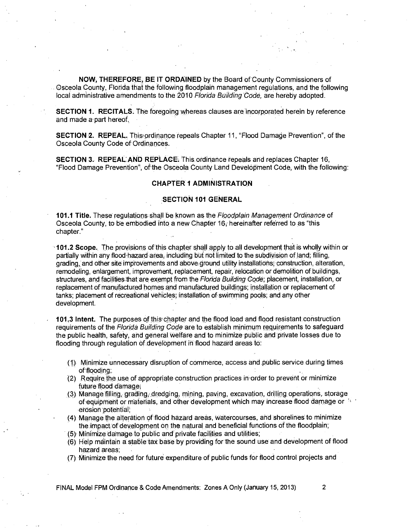**NOW, THEREFORE, BE IT ORDAINED** by the Board of County Commissioners of Osceola County, Flotida that the following floodplain Management regulations, and the following local administrative amendments to the 2010 Florida Building 'Code, are hereby adopted.

**SECTION 1. RECITALS.** The foregoing whereas clauses are incorporated herein by reference and made a part hereof.

**SECTION 2. REPEAL.** This ordinance repeals Chapter 11, "Flood Damage Prevention", of the Osceola County Code of Ordinances.

**SECTION 3. REPEAL AND REPLACE.** This ordinance repeals and replaces Chapter 16, "Flood Damage Prevention", of the Osceola County Land Development Code, with the following:

## **CHAPTER 1 ADMINISTRATION**

## **SECTION 101 GENERAL**

**101.1 Title.** These regulations Shall be known as the Floodplain Management Ordinance of Osceola County, to be embodied into a new Chapter 16, hereinafter referred to as "this chapter."

**101.2 Scope.** The provisions of This chapter shall apply to all development that is wholly within or partially within any flood-hazard area, including but not limited to the subdivision of land; filling, grading, and other site improvements and above ground utility installations; construction, alteration, remodeling, enlargement, improvement, replacement, repair, relocation or demolition of buildings, structures, and facilities that are exempt from the Florida Building Code; placement, installation, or replacement of manufactured homes and manufactured buildings; installation or replacement of tanks; placement of recreational vehicles; installation of swimming pools ; and any other development.

**101.3 Intent.** The purposes of this'chapter and the flbod load and flood resistant.construction requirements of the Florida Building Code are to establish minimum requirements to safeguard the public health, safety, and general Welfare and to minimize public and privatelosses due to flooding through regulation of development in flood hazard areas to:

- Minirnize unnecessary disruption of commerce, access and ,public service during times of flooding;
- (2) Require the use of appropriate construction practices in orderto prevent or minimize future flood damage;
- (3) Manage filling, grading, dredging, mining, paving, excavation, drilling operations storage of equipment or materials, and other development which may increase flood damage or erosion potential;
- (4) Manage the alteration of flbod hazard areas, Watercourses, and shorelines to minimize the impact development on the natural and beneficial functions of the floodplain;
- (5) Minimize damage to public and private facilities and utilities;
- (6) Help maintain a stable tax bate by providing for the sound use and development of flood hazard areas:
- (7) Minimize the need for future expenditure of public funds fot flood control projects and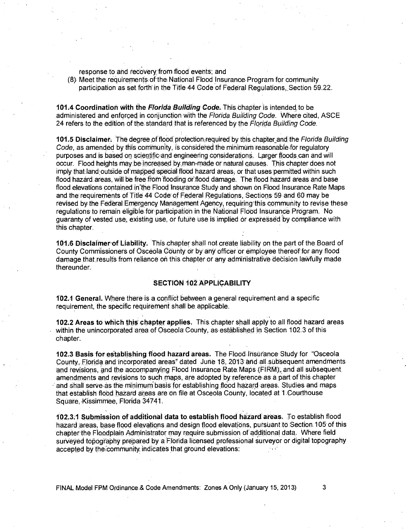response to and recovery from flood events; and

(8) Meet the requirements of the National Flood Insurance Program for community participation as set forth in the Title 44 Code of Federal Regulations Section 59.22.

**101.4 Coordination With the Florida Building Code:** This dhapter is intended, to be administered and enforced in conjunction with the Florida Building Code. Where cited, ASCE 24 refers to the edition of the standard that is referenced by the Florida Building Code.

**101.5 Disclaimer.** The degree of flood protection required by this chapter and the Florida Building Code, as amended by this community, is considered the minimum reasonable for regulatory purposes and is based on scientific and engineering considerations. Larger floods can and will occur. Flood heights may,beincreased by man-made or natural causes. This chapter does not imply that land outside of mapped special flood hazard areas, or that uses permitted within such flood hazard areas, will be free from flooding or flood damage. The flood hazard areas and base flood elevations contained in the Flood Insurance Study and shown on Flood Insurance Rate Maps and the requirements of Title 44 Code of Federal Regulations, Sections 59 and 60 may be revised by the Federal Emergency Management Agency, requiring this community to revise these regulations to remain eligible for participation in the National Flood Insurance Program. No guaranty of vested use, existing use, or future use is implied or expressed by compliance with this chapter.

**101.6 Disclaimerof Liability.** This chapter shall not create liability on the part of the Board of County Commissioners of Osceola County or by any officer or employee thereof for any flood damage that results from reliance on this chapter or any administrative decision lawfully made thereunder.

## **SECTION 102 APPLICABILITY**

**102.1 General.** Where there is a conflict between a general requirement and a specific requirement, the specific requirement shall be applicable.

**102.2 Areas to which this-** chapter applies. This chapter shall apply to all flood hazard areas within the unincorporated area of Osceola County, as established in Section 102.3 of this chapter.

**102.3 Basis for establishing flood hazard areas. The Flood Insurance Study for "Osceola** County, Florida and incorporated areas'' dated June 18, 2013. and all subsequent amendments and revisions, and the accompanying Flood Insurance Rate, Maps (FIRM);, and all subsequent amendments and revisions to such maps, are adopted by reference as a part of this chapter and shall serve as the minimum basis for establishing flood hazard areas. Studies and maps that establish flood 'hazard areas are on file at Osceola County, located at 1 Courthouse Square, Kissimmee, Florida 34741.

**102.3.1 Submission of additional data to establish flood hazard areas.** To establish flood hazard areas, base flood elevations and design flood elevations, pursuant to Section 105 of this chapter the Floodplain Administrator may require submission of additional data Where field surveyed topography prepared by a Florida licensed professional surveyor or digital topography accepted by the community indicates that ground elevations: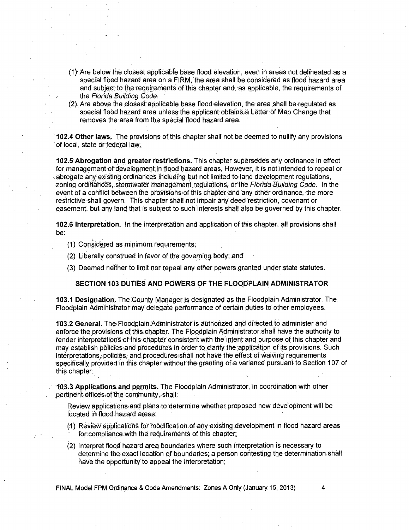- (1) Are below the closest applicable base flood elevation, even in areas not delineated as a special flood hazard area on a FIRM, the area shall be considered as flood hazard area and subject to the requirements of this chapter and, as applicable, the requirements of the Florida Building Code.
- (2) Are above the closest applicable base flood elevation the area shall be regulated as special flood hazard area unless the applicant obtains a Letter of Map Change that removes the area from the special flood hazard area.

**102.4 Other laws.** The provisions of this chapter shall not be deemed to nullify any provisions ' of local, state or federal law.

**102.5 Abrogation and greater restrictions.** This chapter supersedes any ordinance in effect for management of development in flood hazard areas. However, it is not intended to repeal or abrogate any existing ordinances including but not limited to land development regulations, zoning ordinances, stormwater management regulations, or the Florida Building Code. In the event of a conflict between the provisions of this chapter and any other ordinance, the more restrictive shall govern. This chapter shall not impair any deed restriction, covenant or easement, but any land that is subject to such interests shall also be governed by this chapter.

**102.6 Interpretation.** In the interpretation and application of this chapter, all provisions shall be:

- (1) Considered as minimum requirements;
- (2) Liberally construed in favor of the governing body; and
- (3) Deemed neither to limit nor repeal any other powers granted under state statutes.

## **SECTION 103 DUTIES AND POWERS OF THE FLOODPLAIN ADMINISTRATOR**

**103.1 Designation.** The County Manageris designated as the Floodplain Administrator. The Floodplain Administrator may delegate performance of certain duties to other employees.

**103.2 General.** The Floodplain.Administrator is authorized and directed to administer and enforce the provisions of this chapter. The Floodplain Administrator shall have the authority to render interpretations of this chapter consistent with the intent and purpose of this chapter and may establish policies and procedures in order to clarify the application of its provisions. Such interpretations, policies, and procedures shall not have the effect of waiving requirements specifically provided in this chapter without the granting of a variance pursuant to Section 107 of this chapter.

**103.3 Applications and permits.** The Floodplain Administrator, in coordination with other pertinent offices of the community, shall:

Review applications and plans to determine whether proposed new development will be located in flood hazard areas;

- (1) Review applications for modification of any existing development in flood hazard areas for compliance with the requirements of this chapter.
- (2) Interpret flood hazard area boundaries where such interpretation is necessary to determine the exact location of boundaries; a person contesting the determination shall have the opportunity to appeal the interpretation;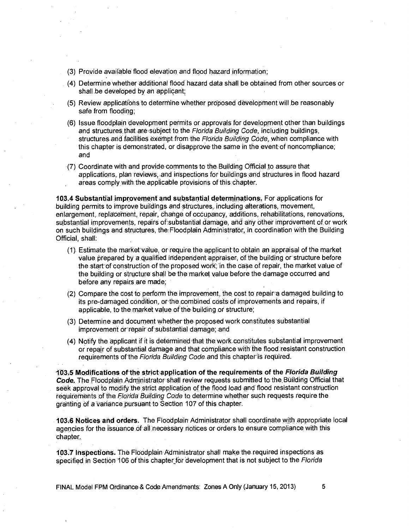- (3) Provide available flood elevation and flood hazard information;
- (4) Determine whether additional flood' hazard data shall be obtained from other sources or shall be developed by an applicant;
- (5) Review applications to determine whether proposed development will be reasonably safe from flooding;
- (6) Issue floodplain development permits or approvals for development other than buildings and structures that are subject to the Florida Building Code, including buildings, structures and facilities exempt.from.the Florida Building Code, when compliance with this chapter is demonstrated, or disapprove the same in the event of noncompliance; and
- (7) Coordinate with and provide comments- to the Building Official to assure that applications, plan reviews, and inspections for buildings and structures in flood hazard areas comply with the applicable provisions of this chapter.

**103.4 Substantial improvement and substantial determinations.** For applications for building permits to improve buildings and structures, including alterations, movement, enlargement, replacement, repair, change of occupancy, additions, rehabilitations, renovations, substantial improvements, repairs of substantial damage, and any Other improvement of or work on such buildings and structures, the Floodplain Administrator, in coordination with the Building Official, shall:

- (1) Estimate the marketvalue, or require the applicantto obtain an appraisal of the market value prepared by a qualified independent appraiser, of the building or structure before the start of construction of the proposed work; 'in the date of repair, the market value of the building or Structure shall be the market value before the damage occurred and before any repairs are made;
- (2) Compare the cost to perform the improvement, the cost to repair a damaged building to its pre-damaged condition, or the combined costs of improvements and repairs, if applicable, to the market value of the building or structure;
- (3) Determine and document whether the proposed work constitutes substantial improvement or repair of substantial damage; and
- (4) Notify the applicant if it is determined that the work constitutes substantial improvement or repair of substantial damage and that compliance with the flood resistant construction requirements of the Florida Building Code and this chapter is required.

**1;03:5 Modifications ofthe strictapplication of the requirements of the Florida Building Code.** The Floodplain Administrator shall review requests submitted tothe,BUilding Official that seek approval to modify the strict application of the flood load and flood resistant construction requirements of the Florida Building Code to determine whether such requests require the granting of a variance pursuant to Section 107 of this chapter.

**103.6 Notices and orders.** The Floodplain Administrator shall coordinate with appropriate local agencies for the issuance of all necessary notices or orders to ensure compliance with this chapter.

**103.7 InspeCtions.** The FlOodplain Administrator shall make the required inspections as specified in Section 106 of this chapter for development that is not subject to the Florida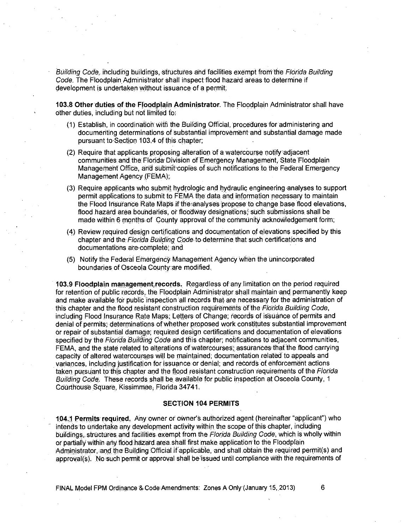Building Code, including buildings, structures and facilities exempt from the Florida Building Code. The Floodplain Administrator shall inspect flood hazard areas to determine if development is undertaken without issuance of a permit.

103.8 Other duties of the Floodplain Administrator. The Floodplain Administrator shall have other duties, including but not limited to:

- (1) Establish, in coordination with the Building Official, procedures for administering and documenting determinations of substantial improvement and substantial damage made pursuant to'Section 103.4 of this chapter;
- (2) Require that applicants proposing alteration of a watercourse notify adiacent communities and the Florida' Division Of Emergency Management, State Floodplain Management Office, and submit copies of such notifications to the Federal Emergency Management Agency (FEMA);
- (3) Require ap<u>plicants who submit hyd</u>rologic and hydraulic engineering analyses to support permit applications to submit to FEMA the data and information necessary to maintain the Flood Insurance Rate Maps if the analyses 'propose to change base flood elevations, flood hazard area boundaries, or floodway designations; such submissions shall be made within 6 months of County approval of the community acknowledgement form;
- (4) Review required design certifications and documentation of elevations specified by this chapter and the Florida Building Code to determine that such certifications and documentations are complete; and
- (5) Notify the Federal Emergency Management Agency when the unincorporated boundaries of Osceola County:are modified.

**103.9 Floodplain management<sup>i</sup> records.** Regardless of any limitation on the period required for retention of public records, the Floodplain Administrator shall maintain and permanently keep and make available for public inspection all records that are necessary for the administration of this chapter and the flood resistant construction requirements of the Florida Building Code, including Flood Insurance Rate Maps; Letters of Change; records of issuance of permits and denial of permits; determinations of whether proposed work constitutes substantial improvement or repair of substantial damage; required design certifications and documentation of elevations specified by the Florida Building Code and this chapter; notifications to adjacent communities, FEMA, and the state related to alterations of watercourses; assurances that the flood carrying capacity of altered watercourses will be maintained; documentation related to appeals and variances, including justification for issuance or denial; and records of enforcement actions taken pursuant to this chapter and the flood resistant construction requirements of the Florida Building Code: These records shall be available for public inspection at Osceola, County, <sup>1</sup> Courthouse Square, Kissimmee, Florida 34741.

### **SECTION 104 PERMITS**

**104.1 Permits' required ,** owner or oWner'S authorized agent (hereinafter "applicant") who intends to undertake any development activity within the scope of this chapter, including buildings,, structures and facilities exempt from the Florida Building Code, which is wholly within or partially within any flood hazard' area shall first make applicatiorito the Floodplain Administrator, and the Building Official if applicable, and shall obtain the required permit(s) and approval(s). No such permit or approval shall be issued until compliance with the requirements of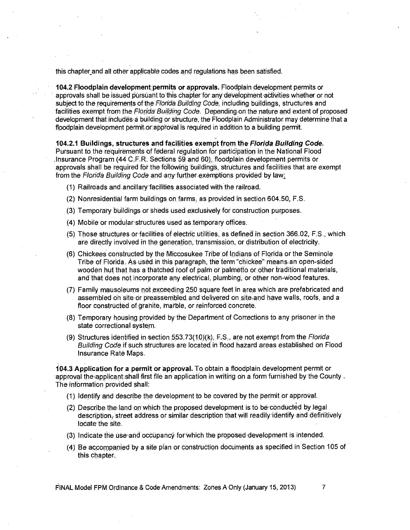this chapter and all other applicable codes and regulations has been satisfied.

**104.2 Floodplain development ,permits or approvals.** Floodplain development permits or approvals shall be issued pursuant to this chapter for any development activities whether or not subject to the requirements of the Florida Building Code, including buildings, structures and facilities exempt from the Florida Building Code. Depending on the nature and extent of proposed development that includes a building or structure, the Floodplain Administrator may determine that a floodplain development permit or approval is required in addition to a building permit.

**104.2.1 Buildings, structures and facilities exempt from the Florida Building Code.**  Pursuant to the requirements Of federal regulation for participation in the National Flood Insurance Program (44 C.F.R. Sections 59 and 60), floodplain development permits or approvals shall be required for the following buildings, structures and facilities that are exempt from the Florida Building Code and any further exemptions provided by law:

- (1) Railroads and ancillary facilities associated with the railroad.
- (2) Nonresidential farm buildings on farms, as provided in section 604.50, F.S.
- (3) Temporary buildings or sheds used exclusively for construction purposes.
- (4) Mobile or modularstructures used as ternporary office&
- (5) Those structures or facilities of electric utilities, as defined in section 366.02, F.S., which are directly involved in the generation, transmission, or distribution of electricity.
- (6) Chickees constructed by the Miccosukee Tribe of Indians of Florida or the Seminole Tribe of Florida. As used in this paragraph, the term "chickee" means an open-sided wooden hut that has a thatched roof of palm or palmetto or other traditional materials, and that does not incorporate any electrical, plumbing, or other non-wood features.
- (7) Family mausoleums not exceeding 250 square feet in area which are prefabricated and assembled on site or preessenibled and delivered on site and have walls, roofs, and a floor constructed of granite, marble, or reinforced concrete.
- (8) Temporary housing provided by the Department of Corrections to any prisoner in the state correctional system.
- (9) Structures identified in section 553.73(10)(k), F.S., are not exempt from the Florida Building Code if such structures are located in flood hazard areas established on Flood Insurance Rate Maps.

**104.3 Application for a perniit or approval.** To obtain a floodplain development permit or approval the applicant shall first file an application in writing on a form furnished by the County. The information provided shall:

- (1) Identify and describe the development to be covered by the permit or approval.
- (2) Describe the land on which the proposed development is to be conducted by legal description, street address or similar description that will readily identify and definitively locate the site.
- (3) Indicate the use and occupancy for which the proposed development is intended.
- (4) Be accompanied by a site plan or cOnstrUction documents as specified in Section 105 of this chapter.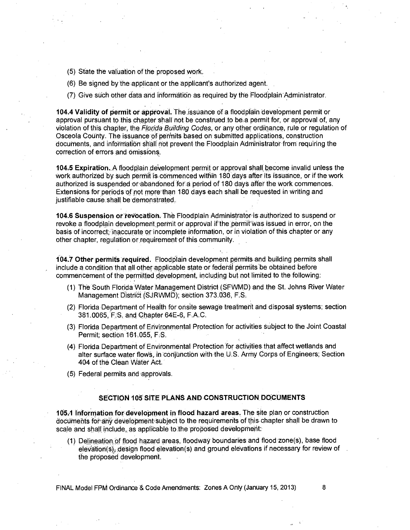- (5) State the valuation of the proposed work.
- (6) Be signed by the applicant or the applicant's authorized agent..
- (7) Give such other data and informatiqn as required by the Floodplain Administrator.

**104.4 Validity of permit or approval.** The issuance of a floodplain development permit or approval pursuant to this chapter shall not be construed to be,a permit for, or approval of, any violation of this chapter, the Florida Building Codes, or any other ordinance, rule or regulation of Osceola County. The issuance of permits based on submitted applications, construction documents, and information shall not prevent the Floodplain Administrator from requiring the correction of errors and Omissions.

**104.5 ExpiratiOn..A** floodplain development permit or approval shall become invalid unless the work authorized by such permit is commenced within 180 days after its issuance, or if the work authorized is suspended or abandoned for a period of 180 days after the work commences. Extensions for periods of more than 180 days each shall be requested in writing and justifiable cause shall be demonstrated.

**104.6 Suspension orreVocation. The 'Floodplain** Administratoris authorized to suspend or revoke a floodplain development permit or approval if the permit was issued in error, on the basis of incorrect; 'inaccurate or incomplete information, or in violation of this chapter or any other chapter, regulation or requirement of this community.

**104.7 Other permits required.** Floodplain development permits and building permits shall include a condition that all other applicable state or federal permits be obtained before commencement of the 'permitted development, including but not limited to the following:

- (1) The South Florida Water Management District (SFWMD) and the St. Johns River Water Management District (SJRWMD); section 373.036, F.S.
- (2) Florida Department of Health for onsite sewage treatment and disposal systems; section 381.0065, F.S. and Chapter 64E-6, F.A.C.
- (3) Florida Department of Environmental Protection for activities Subject to the Joint Coastal Permit; section 161.055, F,S.
- (4) Florida Department of Environmental Protection for activities that affect wetlands and alter surface water flowS, in conjunction With the U.S. Army Corps of Engineers; Section 404 of the Clean Water Act.
- (5) Federal permits and approvals.

### **SECTION 105 SITE PLANS AND CONSTRUCTION DOCUMENTS**

**1051 Infotrnation fordevelopment in flood hazard areas.** The site plan or construction documents for any development subject to the requirements of this chapter shall be drawn to scale and shall include, as applicable to the proposed development:

(1) Delineation of flood hazard areas, floodway boundaries and flood zone(s), base flood elevation(s), design flood elevation(s) and ground elevations if necessary for review of the proposed development.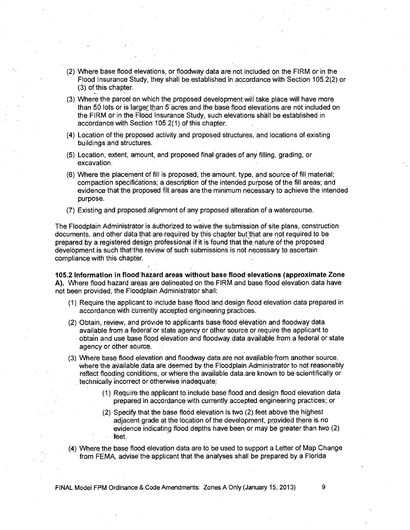- (2) Where base flood elevations, or floodway data are not included on the FIRM or in the Flood Insurance Study, they shell be established in accordance with Section 105.2(2) or (3) of this chapter.
- (3) Where- the parcel on which the proposed development will take place will have more than 50 lots or is larger than 5 acres and the base flood elevations are not included on the FIRM or in the Flood Insurance Study, such elevations shall be established in accordance with Section 105.2(1) of this chapter.
- (4) Location of the proposed activity and proposed structures, and locations of existing buildings and structures.
- (5) Location, extent, amount, and proposed final grades of any filling, grading, or excavation.
- (6) Where the placement of fill is proposed, the amount, type, and source of fill material; compaction specifications; a description of the intended purpose of the fill areas; and evidence that the proposed fill areas are the minimum necessary to achieve the intended purpose.
- (7) Existing and proposed alignment of any proposed alteration of a watercourse.

The Floodplain Administrator is authorized to waive the submission of site plans, construction documents, and other data that are required by this chapter but that are not required to be <sup>r</sup>prepared by a registered design professional if it is found that the nature of the proposed development is such that the review of such submissions is not necessary to ascertain compliance with this chapter.

**105.2 Information in flood hazard areas without base flood elevations (approximate Zone A).** Where flood hazard 'areas are delineated on the FIRM and base flood elevation data have not been provided, the Floodplain Administrator shall:

- (1) Require the applicant to include base flood and design flood elevation data prepared in accordance with currently accepted engineering practices.
- (2) Obtain, review, and provide to applicants base flood elevation and floodway data available from a federal or state agency or other source or require the applicant to obtain and use 'base flood elevation and floodway data available from a federal or state agency or other source.
- (3) Where base flood elevation and floodway data are not available from another source, where the available data are deemed by the Floodplain Administrator to not reasonably reflect flooding conditions, or Where the available data are known to be scientifically or 'technically incorrect or otherWise inadequate:
	- (t) kequire the applicant to include base flood and design flood elevation data prepared in accordance with currently accepted engineering practices; or
	- (2) Specify that the base flood elevation is two (2) feet above the highest adjacent grade at the location of the development, provided there is no evidence indicating flood depths have been or may be greater than two (2) feet.
- (4) Where the base flood elevation data are to be used to support a Letter of Map Change from FEMA, advise the applicant that the analyses shall be prepared by a Florida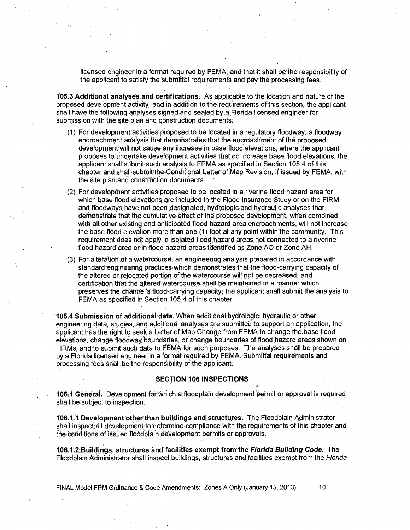licensed engineer in a format required by FEMA, and that it shall be the responsibility of the applicant to satisfy the submittal requirements and pay the processing fees.

**105.3 Additional analyses and certifications.** As applicable to. the location and nature of the proposed development activity, and in addition to the requirements of this section, the applicant shall have the following analyses signed and sealed by a Florida licensed engineer for submission with the site plan and construction documents:

- (1) For development activities proposed to be located in a regulatory floodway, a floodway encroachment analysis that demonstrates that encroachment of the proposed development will not cause any increase in base flood elevations; where the applicant proposes to undertake development activities that do increase base flood elevations, the applicant shall submit such analysis to FEMA as specified in Section 105.4 of this chapter and shall submit the Conditional Letter of Map Revision, if issued by FEMA, with the site plan and construction documents.
- (2) For development activities proposed to be located in a,riverine flood hazard area for which base flood elevations are included in the Flood Insurance Study or on the FIRM and floodways have not been designated, hydrologic and hydraulic analyses that demonstrate that the cumulative effect of the proposed developrhent, when combined with all other existing and anticipated flood hazard area encroachments, will not increase the base flood elevation more than one (1) foot at any point within the community. This requirement does not apply in isolated flood hazard areas not connected to a riverine flood hazard area orin flood hazard areas identified as Zone AO or Zone AH.
- (3) For alteration of a watercourse, an engineering analysis prepared in accordance with  $\,$ standard engineering, practices which demonstrates that the flood-carrying capacity of the altered or relocated portion of the watercourse will not be decreased, and certification that the altered watercourse Shall be maintained in a manner which preserves the channel's flood-carrying capacity; the applicant shall submit the analysis to FEMA as specified in Section 105.4 of this chapter.

**105.4 Submission of additional :data.** When additional hydrOlogic; hydraulic or other engineering data, studies, and additional analyses are submitted to support an application, the applicant has the right to seek a Letter of Map Change from FEMA to change the base flood elevations, change floodway boundaries, or change boundaries of flood hazard areas shown on FIRMs, and to submit such data to FEMA for such purposes. The analyses shall be prepared by a Florida licensed engineer in a format required by FEMA. Submittal requirements and processing fees shall be the responsibility of the applicant.

#### **SECTION 106 INSPECTIONS**

**106.1 General-,** Development for Which a floodplain development Permit or approval is required shall be subject to inspection.

**106.1.1 Development other than buildings and structures.** The Floodplain:Administrator shall inspect all development to determine compliance with the requirements of this chapter and the conditions of issued floodplain development permits or approvals.

**106.4.2 Buildings, structures and facilities exempt from the Florida Building Code.** The Floodplain Administrator shall inspect buildings, structures and facilities exempt from the Florida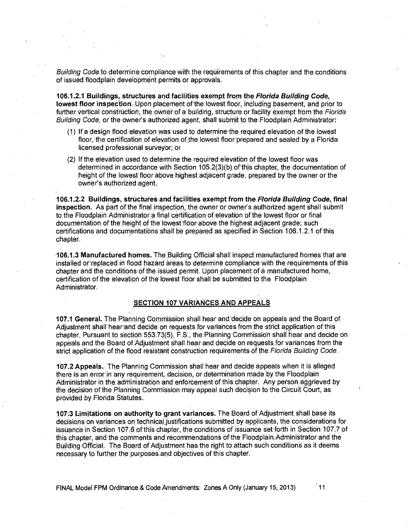Building Code to determine compliance with the requirements of this chapter and the conditions Of issued floodplain development permits or approvals.

**106.12.1 Buildings, structures and facilities exempt from the Florida Building Code, lowest floor inspection.** Upon placement of the lowest floor, including basement, and prior to further vertical construction, the owner of a building, structure or facility exempt from the Florida Building Code, or the owner's authorized agent, shall submit to the Floodplain Administrator:

- (1) If a design flood elevation was used to determine-the required elevation of the lowest floor, the certification of elevation of the lowest floor prepared and sealed by a Florida licensed professional surveyor; or
- (2) If the elevation used to determine the required elevation of the lowest floor was determined in accordance with Section 105.2(3)(b) of this chapter, the documentation of height of the lowest floor above highest adjacent grade, prepared by the owner or the owner's authorized agent.

**106.1.2.2 Buildings, structures and facilities exempt from the Florida Building Code, final**  inspection. As part of the final inspection, the owner or owner's authorized agent shall submit to the Floodplain Administrator a final 'certification of elevation of the lowest floor or final documentation; of the height of the lowest floor above the highest adjacent grade; such certifications and documentations shall be prepared as specified in Section 106.1.2.1 of this chapter.

**106.1.3 Manufactured homes.** The Building Official shall inspect manufactured homes that are installed or replaced in flood hazard areas to determine compliance with the requirements of this chapter and the conditions of the issued permit. Upon placement of a manufactured home, certification of the elevation of the lowest floor shall be submitted to the Floodplain Administrator.

## **SECTION 107 VARIANCES AND APPEALS**

**107.1 General.** The Planning Commission shall hear and 'decide on appeals and the Board of Adjustment shall hear and decide on requests for variances from the strict application of this chapter. Pursuant to section 553.73(5), 'F .S., the Planning Commission shall hear and decide on appeals and the Board of Adjustment shall hear and decide on requests for variances from the strict application of the flood resistant construction requirements of the Florida Building Code.

**107.2 Appeals.** The Planning Commission shall' hear and decide appeals.when it is alleged there is an error in any requirement, decision, or determination made by the Floodplain Administrator in the administration and enforcement of this chapter. Any person aggrieved by the decision of the Planning Commission may appeal such decision to the Circuit Court, as provided by Florida Statutes.

**107:3 Limitations on authority to grant variances.** The 'Board of Adjustment shall base its decisions on variances on technical justifications submitted by applicants, the considerations for issuance, in Section 107:6 of this chapter, the conditions of issuance set forth in Section 107.7 of this chapter, and the comments and recommendations of the Floodplain,Administrator and the Building Official. The Board of Adjustment has the right to attach such conditions as it deems necessary to further the purposes and objectives of this chapter.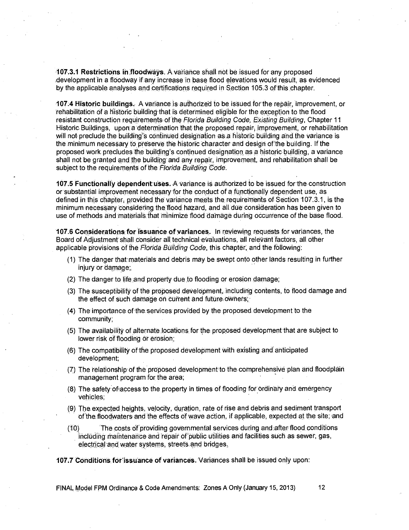**107.3.1 Restrictions, in floodWays.** A variance shall not be issued for any proposed .development in a flbodway if any increase in base flood elevations would result, as evidenced by the applicable analyses and certifications required in Section 105.3 of this chapter.

**.107.4 Historic buildings.** A variance is authorized to be isSiled forthe repair, improvement, or 'rehabilitation of a historic building that is determined eligible for the exception to the flood resistant construction requirements of the Florida Building Code, Existing Building, Chapter 11 Historic Buildings, upon a determination that the proposed repair, improvement, or rehabilitation will not preclude the building's continued designation as a historic building and the variance is the minimum necessary to preserve the historic character and design of the building. If the proposed work precludes the building's continued designation as a historic, building, a variance shall not be granted and the building and any repair, improvement, and rehabilitation shall be subject to the requirements of the Florida Building Code.

**107.5 Functionally dependentuSes.** A variance IS authorized to be issued for the construction or substantial improvement necessary for the conduct of a functionally dependent use, as defined in this chapter, provided the variance meets the requirements of Section 107.3.1, is the minimum necessary Considering the flood haZard, and all due consideration has been given to use of methods and materials that minimize flood damage during occurrence of the base flood.

**107.6 Considerations:for issuance of variances.** In reviewing requests for variances, the Board of Adjustment shall consider all technical evaluations, all relevant factors, all other applicable provisions of the Florida Building Code, this chapter, and the following:

- (1) The danger that materials and debris may be swept onto other lands resulting in further injury or damage;,
- (2) The danger to life and property due to flooding or erosion damage;
- (3) The susceptibility of the proposed development, including contents, to flood damage and the effect of such damage on current and future owners;
- (4) The importance ofthe.services provided by the proposed development to the community;
- (5) The availability of alternate locations for the proposed developmpnt that are subject to lower risk of flooding or erosion;
- (6) The compatibility ofthe proposed development with existing and anticipated development;
- (7) The relationship of the prOposed development to the comprehensive 'plan and floodplain management program for the area;
- (8) The safety ofiaccess to the property in times of flooding for Ordinary and emergency vehicles;
- (9) The expected heights, velocity, duration, rate of rise and debris and sediment transport of the floodwaters and the effects of wave action, if applicable, expected at the site; and
- (10) The ,costs of providing governmental services, during and after flood conditions including maintenance and repair of public utilities and facilities such as sewer, gas, electrical andwater systems, streets and bridges.

**107.7 Conditions for issuance of variances.** Variances shall be issued only upon: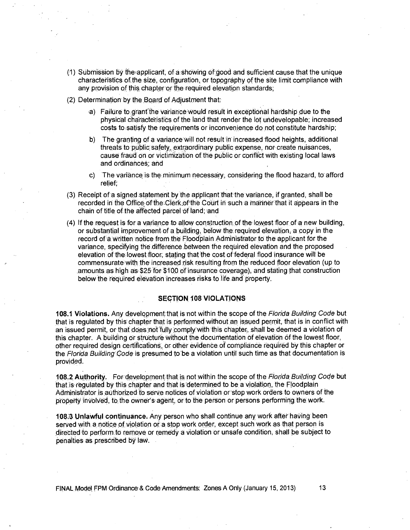- (1) Siibmission by the ,applicant, of a'shOwing of,good and sufficient cause that the unique characteristics of the size, configuration, or topography of the site limit compliance with any provision of this chapter or the required elevation standards;
- (2) Determination by the Board of Adjustment that
	- a) Failure to grant the variance would result in exceptional hardship due to the physical characteristics of the land that render the lot undevelopable; increased costs to satisfy the requirements or inconvenience do not constitute hardship;
	- b) The granting of a variancewill not result in increased flood heights, additional threats to public safety, extraordinary public expense, nor create nuisances, cause fraud on or victimization of the public or conflict with existing local laws and ordinances; and
	- c) The variance is the minimum necessary, considering the flood hazard, to afford relief;
- (3) Receipt of a signed statement by the applicant that the variance, if granted, shall be recorded in the Office of the Clerk of the Court in such a manner that it appears in the chain of title of the affected parcel Of land; and
- (4) If the request is for a variance to allow construction of the lowest floor of a new building, or substantial improvement of a building, below the required elevation, a copy in the record of a written notice from the Floodplain Administrator to the applicant for the variance, specifying the difference between the required elevation and the proposed elevation of the lowest floor; stating that the cost of federal flood insurance will be commensurate with the increased risk resulting from the reduced floor elevation (up to .amounts as high as \$25 for \$100 of insurance coVerage), and stating that construction below the required elevation increases risks to life and property.

## **SECTION 108 VIOLATIONS**

**108.1 Violations.** Any development that is not within the scope of the Florida Building Code but that is regulated by this chapter that is performed without an issued permit, that is in conflict with an issued permit, or that does not fully comply with this chapter, shall be deemed a violation of this chapter. A building or structure without the documentation of elevation of the lowest floor, other required design certification, Or Other evidence of compliance required by this chapter or the Florida Building Code is presumed to be a violation until such time as that documentation is provided.

**108.2 Authority.** For development that is not within the scope of the Florida Building Code but that is regulated by this chapter and that is determined to be a violation, the Floodplain Administrator is authorized to serve notices of violation or stop work orders to owners of the property involved, to the owner's agent, or to the person or persons performing the work.

**1.083 Unlawful continuance.** Any person who shall continue any work after having been served with a notice of violation or a stop work order, except such work as that person is directed to perform to remove or remedy a Violation or unsafe condition, shall be subject to penalties as prescribed by law.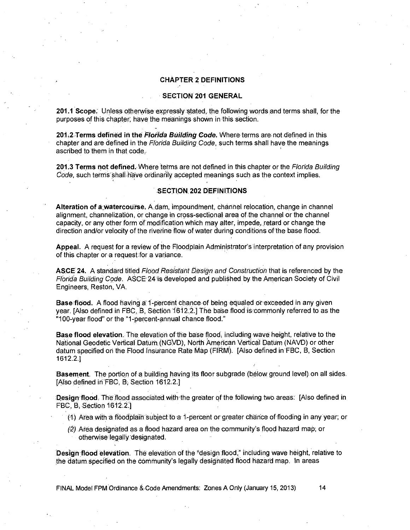### **CHAPTER 2 DEFINITIONS**

### **SECTION 201 GENERAL**

**201.1 Scope:** Unless otherwise expressly 'stated, the following words and terms shall, for the purposes of this chapter, have the meanings shown in this section.

**201,Z Terms defined in the Florida Building Code.** Where terms are not defined in this chapter and are defined in the Florida Building Code, such terms shall have the meanings ascribed to them in that code.

**201.3 Terms not defined. Where** terms are not defined in this chapter or the Florida Building Code, such terms shall have ordinarily accepted meanings such as the context implies.

#### **SECTION, 202 DEFINITIONS**

**Alteration of &watercourse.** A dam, impoundment, channel relocation, change in channel alignment, channelization, or change in cross-sectional area of the channel or the channel capacity, or any other form of modification which may alter, impede, retard or change the direction and/or velocity of the riverine flow of water during conditions of the base flood.

**Appeal.** A request for a review of the Floodplain Administrator's interpretation of any provision of this chapter or a request for a variance.

**ASCE 24.** A standard titled Flood Resistant Design and Construction that is referenced by the Florida Building Code. ASCE 24 is developed and published by the American Society of Civil Engineers, Reston, VA.

**Base flood.** A flood having a 1-percent chance of being equaled or exceeded in any given year. [Also defined in FBC, B, Section 1612.2.] The base flood is commonly referred to as the "100-year flood" or the "1-percent-annual chance flood."

**Base flood elevation.** The elevation of the base flood, including wave height, relative to the National Geodetic Vertical Datum (NGVD), North American Vertical Datum (NAVD) or other datum specified on the Flood Insurance Rate Map (FIRM). [Also defined in FBC, B, Section 1612.2.]

**Basement.** The portion of a building having its floor subgrade (below ground level) on all sides. [Also defined in FBC, B. Section 1612.2.]

**Design flood** The flood associated with the greater of the following two areas: [Also defined in FBC, B, Section 1612.21

(1) Area with a floodplaiii "subject to a 1-percent or greater chance of flooding in any year; or

(2) Area designated as a flood hazard area on the community's flood hazard map; or otherwise' legally designated.

**Design flood elevation.** The elevation of the 'design flood," including wave height, relative to the datum specified on the Community's legally designated flood hazard map. In areas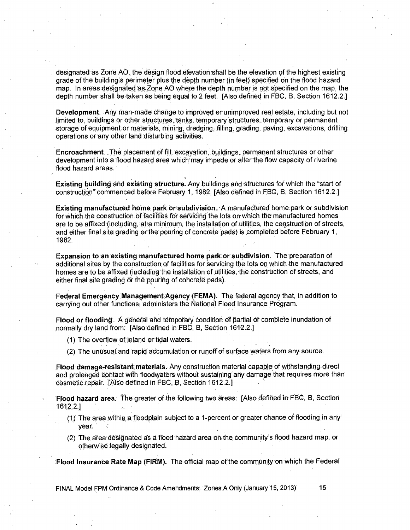designated as Zone AO, the design flood elevation shall be the elevation of the highest existing grade of the building's perimeter plus the depth number (in feet) specified on the flood hazard map. In areas,deSignated'as Zone AO where the depth number is not specified on the map, the depth number shall. be taken as being equal to 2 feet. [Also defined in FBC, B, Section 1612.2.]

**Development.** Any man-made change to improved or unimproved real estate, including but not limited to buildings or other structures, tanks, temporary structures, temporary or permanent storage of equipment or materials, mining, dredging, filling, grading, paving, excavations, drilling operations or any other land disturbing activities.

**Encroachment.** The placement of fill, excavation, buildings, permanent structures or other development into a flood hazard area which may impede or alter the flow capacity of riverine flood hazard areas.

**Existing building** and **existing.structure.** Any buildings and 'structures for which the "start of construction" commenced before February 1, 1982, [Also defined in FBC, B, Section 1612.2.]

**Existing manufactured home park or subdivision. A manufactured home park or subdivision** for which the construction of facilities for servicing the lots on which the manufactured homes are to be affixed (including, at a minimum, the installation of utilities, the construction of streets, and either final site grading or the pouring of concrete pads) is completed before February 1, 1982.

**Expansion to an existing manufactured home park or subdivision.** The preparation of additional sites by the construction of facilities for servicing the lots on which the manufactured homes are to be affixed (including the installation of utilities, the construction of streets, and either final site grading or the pouring of concrete pads).

**Federal Emergency Management.Agency,(FEMA).** The federal agency that, in addition to carrying out other functions, administers the National Flood Insurance Program.

**Flood or flooding.** A general and temporary COndition Of partial Or complete inundation of normally dry land from: [Also defined in FBC, B, Section 1612.2.]

(1) The overflow of inland or tidal waters.

(2) The unusual and rapid accumulation or runoff of surface waters from any source.

**Flood damage=retistant Materials.** Any construction material capable.of withstanding direct and prolonged contact with floodwaters without sustaining any damage that requires more than cosmetic repair. [Also defined in FBC, B, Section 1612.2.]

-

**Flood hazard area.** the greater of the following two areas: [Also defined in FBC, B, Section 1612.2.]

- (1) The area within, a floodplain subject to a 1-percent or greater chance of flooding in any year.
- (2) The area designated as a flood hazard area on the community's flood hazard map, or otherwise legally designated.

**Flood Insurance Rate Map (FIRM).** The official map of the community on which the Federal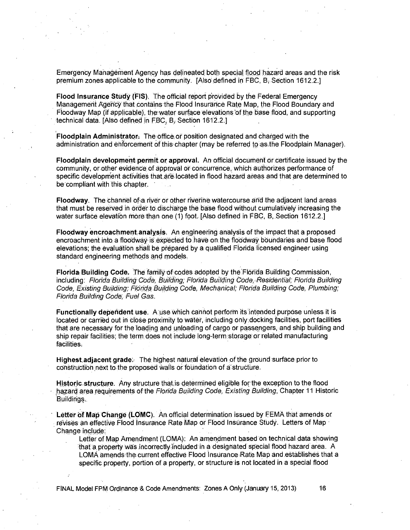Emergency Management Agency has delineated both special flood hazard areas and the risk premium zones applicable to the community. [Also defined in FBC, B. Section 1612.2.]

**Flood Insurance** study **(FIS).** The official report provided by the Federal Emergency Management Agehdy that contains the Flood Insurance Rate Map, the Flood Boundary and Floodway Map (if applicable), the water surface elevations of the base flood, and supporting technical data [Also defined in FBC, B, Section 1612.2.]

**Floodplain Administrator:** The dffice, or position designated and charged with the administration and enforcement of this chapter (may be referred to as the Floodplain Manager).

**Floodplain development permit or approval.** An official document or certificate issued by the community, or other evidence of approval or concurrence, which authorizes performance of specific development activities that ate located in flood hazard areas and that are determined to be compliant with this chapter.

**Floodway.** The channel ofa river or other rivenne watercourse and the adjacent land areas that must be reserved in order to discharge the base flood without cumulatively increasing the water surface elevation more than one (1) foot. [Also defined in FBC, B, Section 1612.2.]

**Floodway encroachment analysis.** An engineering analysis of the impact that a proposed encroachment into a floddway is expected to have on the floodway boundaries and base flood elevations; the evaluation shall be prepared by a qualified Florida licensed engineer using standard engineering methods and models.

**Florida Building Code.** The family of codes adopted by the Florida Building Commission, including: Florida Building Code, Building; Florida Building Code, Residential; Florida Building Code, Existing Building; Florida Building Code, Mechanical; Florida Building Code, Plumbing; Florida Building Code, Fuel Gas.

**Functionally dependent use.** A use which cannot perform its intended purpose unless it is located or carried out in cloSe proximity to water, including only.docking facilities, port facilities that are necessary for the loading and unloading of cargo or passengers, and ship building and ship repair facilities; the term does not include long-term storage or related manufacturing facilities:

**Highest adjacent grade:** The highest natural elevation of the ground surface prior to construction next to the proposed walls or foundation of a structure.

**Historic structure.** Any structure that is determined eligible for the exception to the flood hazard area requirements of the Florida Building Code, Existing Building, Chapter 11 Historic Buildings.

**Letter of Map Change (LOMC).** An official determination issued by FEMA that amends or revises an effective Flood Insurance Rate Map or Flood Insurance Study. Letters of Map Change include:

Letter of Map Amendment (LOMA): An amendment based on technical data showing that a property was incorrectly included in a designated special flood hazard area A LOMA amends. the current effective Flood Insurance Rate Map and establishes that a specific property, portion of a property, or structure is not located in a special flood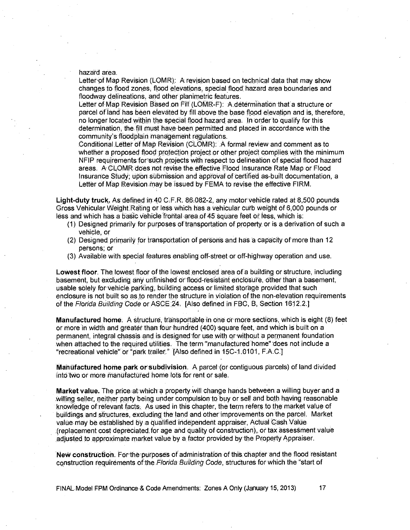hazard area.

Letter of Map Revision (LOMR): A revision based on technical data that may show changes to flood zones, flood elevations, special flood hazard area boundaries and floodway delineations, and other planimetric features.

Letter of Map Revision Based on Fill (LOMR-F): A determination that a structure or parcel of land has been elevated by fill above the base flood elevation and is, therefore, no longer located within the special flood hazard area In 'order to qualify for this determination, the fill must have been permitted and placed in accordance with the community's floodplain management regulations.

Conditional Letter Of Map Revision (CLOMR): A formal review and comment as to whether a proposed flood protection project or other project complies with the minimum NFIP requirements for such projects with respect to delineation of special flood hazard areas. A CLOMR does not revise the effective Flood Insurance Rate Map or Flood Insurance Study; upon submission and approval of certified as-built documentation, a Letter of Map Revision may be issued by FEMA to revise the effective FIRM.

**Light-duty truck.** As defined in 40 C.F.R. 86.082-2, any motor vehicle rated at 8,500 pounds Gross Vehicular Weight Rating or less which has a vehicular curb weight of 6,000 pounds or less and which has a basic vehicle frontal area of 45 square feet or less, which is:

- (1) Designed primarily for purposes of transportation of property or is a derivation of such a vehicle, or
- (2) Designed primarily for transportation of persons and has a capacity of more than 12 persons; or
- (3) Available with special features enabling off-street or off-highway operation and use.

**Lowest floor.** The lowest floor of the lowest enclosed area of a building or structure, including basement, but excluding any unfinished or flood-resistant enclosure, other than a basement, usable solely for vehicle parking, building access or limited Storage provided that such enclosure is not built so as to render the structure in violation of the non-elevation requirements of the Florida Building Code or ASCE:24. [Also defined in FBC, B, Section 1612.2.]

**Manufactured home:** A ttructure, transportable in one or more sections, which is eight (8) feet or more in width and greater than: four hundred (400) square feet, and which is built on a permanent, integral chassis and is designed for use with or without a permanent foundation when attached to the required utilities. The term "manufactured home' does not include a "recreational vehicle" or "park trailer." [Also defined in 15C-1.0101, F.A.C.]

**Manufactured home park or subdivision.** A parcel (or contiguous parcels) of land divided into two or more manufactured home lots for rent or sale.

**Market value.** The price at which a property will change hands between a willing buyer and a willing seller, neither party being under compulsion to buy or sell and both having reasonable knowledge of relevant facts. As used in this chapter, the term refers to the market value of buildings and sfructures, excluding the land and other improvements on the parcel. Market value may be established by a qualified independent appraiser, Actual Cash Value (replacement cost depreciated for age and quality of construction), or tax assessment value adjusted to approximate market value by a factor provided by the Property Appraiser.

**New construction.** For the purposes of administration of this chapter and the flood resistant construction requirements of the Florida Building Code, structures for which the "start of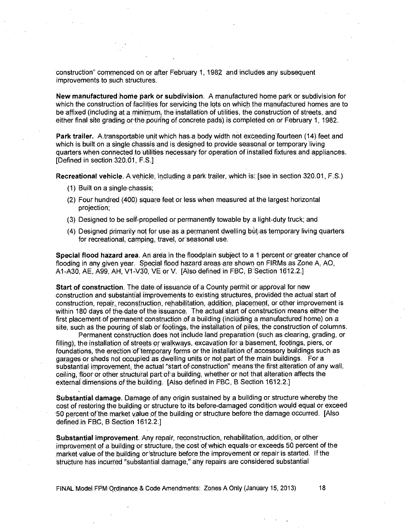construction" commenced on or after February 1, 1982 and includes any subsequent improvements to such structures.

**New manufactured horne park Or subdiVision.** A manufactured home park or subdivision for which the construction of facilities for servicing the lots on which the manufactured homes are to be affixed (including at a minimum, the installation of utilities, the construction of streets, and either final site grading orthe,pouring of concrete pads) is completed on or February 1, 1982.

**Park trailer.** A.transportable unit which has, a body width not exceeding fourteen (14) feet and which is built on a single chassis and is designed to provide seasonal or temporary living quarters when connected to utilities necessary for operation of installed fixtures and appliances. [Defined in section 320.01, F.S.]

**Recreational vehicle.** A vehicle, including a park trailer, which is: [see in section 320.01, F.S.)

- $(1)$  Built on a single chassis;
- (2) Four hundred (400) square feet or less when measured at the largest horizontal projection;
- (3) Designed to be self-propelled or permanently towable by a light-duty truck; and
- (4) Designed primarily not for use as a permanent dwelling but as temporary living quarters for recreational, camping, travel, or 'seasonal use.

**Special flood hazard area.** An area in the floodplain subject to a 1 percent or greater chance of flooding in any given year. Special flood hazard areas are shown on FIRMs as Zone A, AO, A1-A30, AE, A99, AH, V1-V30, VE or V. [Also defined in FBC, B. Section 1612.2.]

**Start of construction.** The, date of issuance of a: County permit or approval for new construction and substantial improvements to existing structures, provided the actual start of construction, repair, reconstruction, rehabilitation, addition, placement, or other improvement is within 180 days of the date of the issuance. The actual start of construction means either the first placement of permanent construction of a building (including a manufactured home) on a site such as the pouring of slab or footings ; the installation of piles, the construction of columns.

Permanent construction does not include land preparation (such as clearing, grading, or filling), the installation of streets or walkways, excavation for a basement, footings, piers, or foundations, the erection of temporary forms or the installation of accessory buildings such as garages or sheds not occupied as dwelling units or not part of the main buildings. For a substantial improvement, the actual "start of construction" means the first alteration of any wall, ceiling, floor or other structural part;of a building, whether or not that alteration affects the eXternal dimensions of the building. [Also defined in FBC, B Section 1612.2.]

**Substantial damage.** Darnage,of:any origin sustained by a building or structure whereby the cost of restoring the building or structure to its before-damaged condition would equal or exceed 50 percent of market value of the building or structure before the damage occurred. [Also defined in FBC, B Section 1612.2.1

**Substantial improvement.** Any repair, reconstruction, rehabilitation, addition, or other improvement of a building or structure, the cost of which equals or exceeds 50, percent of the market value of the building or structure before the improvement or repair is started. If the structure has incurred "substantial damage," any repairs are considered' substantial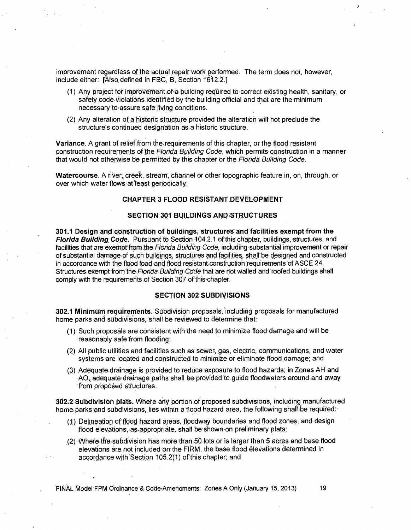improvement regardless of the actual repair work performed. The term does not, however, include either: [Also defined in FBC, B. Section 1612.2.]

- (1) Any project for improvement of a building required to correct existing health, sanitary, or safety code violations identified by the building official and that are the minimum necessary to assure safe living conditions.
- (2) Any alteration of a historic structure provided the alteration will not preclude the structure's continued designation as a historic structure.

**Variance.** A grant of relief from the requirements of this chapter, or the flood resistant construction requirements of the Florida Building Code, which permits construction in a manner that would not otherwise be permitted by this chapter or the Florida Building Code.

**Watercourse.** A river,, creek, strearri, channel or other topographic feature in, on, through, or over which water flows at least periodically:

## **CHAPTER 3 FLOOD RESISTANT DEVELOPMENT**

### **SECTION '301 BUILDINGS AND STRUCTURES**

**301.1 Design and construction of buildings,'structureS and facilities exemptfrom the**  Florida Building Code. Pursuant to Section 104.2.1 of this chapter, buildings, structures, and facilities that are exempt from the Florida Building Code, including substantial improvement or repair of substantial damage of such buildings, structures and facilities, shall be designed and constructed in accordance with the flood load and flood resistant construction,requirements of ASCE 24. Structures exempt from the Florida Building Code that are not walled and roofed buildings shall comply with the requirements of Section 307 of this chapter.

## **SECTION 302 SUBDIVISIONS**

**302.1 Minimum requirements.** Subdivision proposals, including proposals for manufactured home parks and subdivisions, shall be reviewed to determine that:

- (1) Such proposals are consistent with the need to minimize flood damage and will be reasonably safe from flooding;
- (2) All public utilities and facilities such as sewer, gas, electric, communications, and water systems are located and constructed to minimize or eliminate flood damage; and
- (3) Adequate drainage is provided to reduce exposure to flood hazards; in Zones AH and AO, adequate drainage paths shall be provided to guide floodwaters around and away from proposed structures.

**3021 Subdivision plats.** Where any 'portion of proposed subdivisions, including' manufactured home parks and subdivisions, lies within a flood hazard area, the following shall be required:

- (1) Delineation of flood hazard areas, floodway boundaries and flood zones, and design flood elevations, as appropriate, shall be shown on preliminary plats;
- (2) Where the Subdivision has more than 50 lots or is larger than 5 acres and base flood elevations are not included on the FIRM, the base flood eleVations determined in accordance with Section 105.2(1) of this chapter; and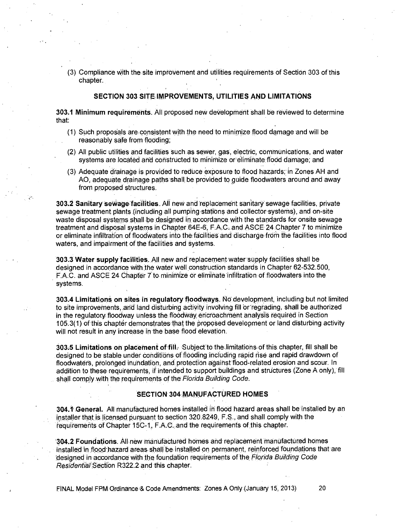(3) Compliance With the site improvement and utilities requirements of Section 303 of this chapter.

### **SECTION 303 SITE IMPROVEMENTS, UTILITIES AND LIMITATIONS**

**303.1 Minimum requirements.** All proposed new deVeloprnent shall be reviewed to determine that:

- (1) Such proposals areconsistent with the need to minimize flood damage and will be reasonably safe from flooding;
- (2) All public utilities and facilities Such as sewer, gas, electric, communications, and water systems are located arid constructed to minimize or eliminate flobd damage; and
- (3) Adequate drainage is provided to reduce exposure to flood hazards;' in Zones AH and AO, adequate drainage paths shall be provided to guide floodwaters around and away from proposed structures.

**303.2 Sanitary SeWagelacilities.** All new and 'replacement sanitary sewage facilities, private sewage treatment plants (including all pumping stations and collector systems), and on-site waste disposal systems shall be designed in accordance with the standards for onsite sewage treatment and disposal systems in Chapter 64E-6 F.A.C., and ASCE. 24 Chapter 7 to minimize or eliminate infiltration of floodwaters into the facilities and discharge from the facilities into flood waters, and impairment of the facilities and systems.

**303.3 Water supply facilities.** All new and replacerrient water supply facilities shall be designed in accordance with the water well construction standards in Chapter 62-532.500, F.A.C. and ASCE 24 Chapter 7 to minimize or eliminate infiltration of floodwaters into the systems.

**303.4 Limitations on sites in regulatory floodways.** Nd development, including but not limited to site improvements, and land disturbing activity involving fill Orregrading, shall be authorized in the regulatory floodway unless the floodway encroachment analysis required in Section 105.3(1) of this chapter demonstrates that the proposed development or land disturbing activity will not result in any increase in the base flood elevation.

**303.5 Limitations on placement of fill.** Subject to the limitations of this chapter, fill shall be designed to be stable under conditions of flooding including rapid rise and rapid drawdown of floodwaters, prolonged inundation, and protection against flood-related erosion and scour. In addition to these requirements, if intended to support buildings and structures (Zone A only), fill shall comply with the requirements of the Florida Building Code.

## **SECTION 304, MANUFACTURED HOMES**

304.1 General. All manufactured homes installed in flood hazard areas shall be installed by an installer that is licensed pursuant to section 320.8249, F.S., and shall comply with the requirements of Chapter 15C-1, F.A.C..anct the requirements of this chapter.

104.2 **Foundations.** All new Manufactured homes and replacement Manufactured homes installed in flood hazard areas shall be installed on permanent, reinforced foundations that are designed in accordance with the foundation requirements of the Florida Building Code Residentia/SectiOn R322:2 and this chapter.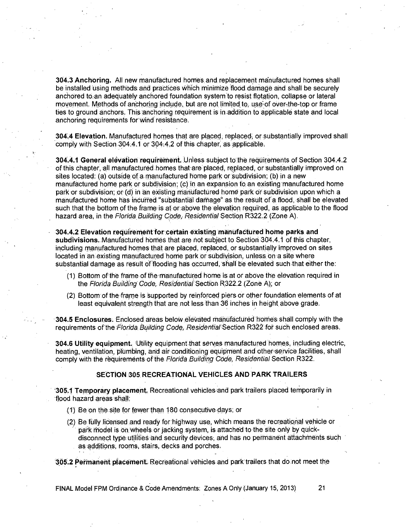**304.3 Anchoring.** All new manufactured hornes and replacement manufactured homes shall be installed using methods and practices Which minimize flood damage and shall be securely anchored to an adequately anchored foundation system to resist flotation, collapse or lateral movement. Methods of anchoring include, but are not limited to use over-the-top or frame ties to ground anchors. This anchoring requirement is in addition to applicable state and local anchoring requirements for wind resistance.

**304.4 Elevation.** Manufactured homes that are placed, replaced; or substantially improved shall comply with Section 304.4.1 or 3044.2 of this chapter, as applicable:

**304.4.1 General elevation requireinent.** Unless subject to the requirements of Section 304.4.2 of this chapter, all manufactured homes that are placed, replaced, or substantially improved on sites located: (a) outside of a manufactured home park or Subdivision; (b) in a new manufactured home park or subdivision; (c) in an expansion to an existing manufactured home park or subdivision; or (d) in an existing manufactured home park or subdivision upon which a manufactured home has incurred "substantial damage' as the result of a flood, shall be elevated such that the bottom of the frame is at or above the elevation requited, as applicable to the flood hazard area, in the Florida Building Code, Residential Section R322.2 (Zone A).

**304.4.2 Elevation requirement for certain existing manufactured home parks and subdivisions. Manufactured** homes that are riot subject to Section 304.4.1 of this chapter, including manufactured homes that are placed, replaced, or substantially 'improved on sites located in an existing manufactured home park or subdivision, unless on a site where substantial damage as result of flooding has occurred, shall be elevated such that either the:

- (1) Bottom of the frame of the manufactured home is at or above the elevation required in the Florida Building Code, Residential Section R322.2 (Zone A), or
- (2) Bottom of the frame is Supported by reinforced piers or other foundation elements of at least equivalent strength that are not less than 36 inches in height above grade.

**304.5 Enclosures.** Enclosed areas below elevated manufactured homes shall comply with the requirements of the Florida Building Code, Residential Section R322 for such enclosed areas.

**304.6 Utility equipment. 'Utility** equipment that serves manufactured homes, including electric, heating, ventilation, plumbing, and air conditioning equipment and other service facilities, shall comply with the requirements of the Florida Building COde, Residential Section R322.

#### **SECTION 305 RECREATIONAL VEHICLES AND PARK TRAILERS**

**305.1 Temporary placement.** Recreational vehicles 'and park trailers placed temporarily in flood hazard areas shall:

- (1) Be on the site for fewer than 180 consecutive days; or
- (2) Be fully licensed and ready for-highway use, which means the recreational vehicle or park Model is on wheels or jacking system, is attached to the site only by quickdisconnect type utilities and security devices; arid has no permanent attachrnents such as additions, rooms, stairs, decks and porches.

**'305.2 Pernahent plaCement.** Recreational vehicles and parictrailers that do not meet the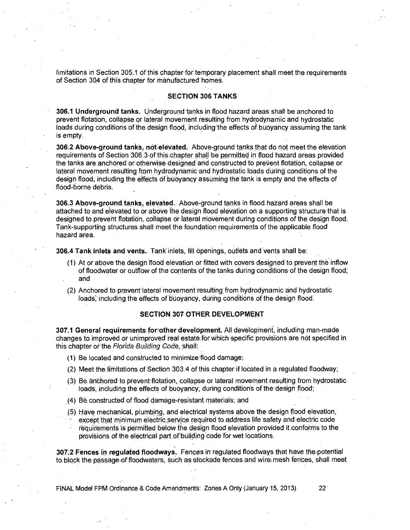limitations in Section 305.1 of this chapter for temporary placement shall meet the requirements of Section 304 of this chapter for manufactured homes.

#### **SECTION 306 TANKS**

**306:1 Underground tanks.** Underground tanks in flood hazard areas shall be anchored to prevent flotation, collapse or lateral movement resulting from hydrodynamic and hydrostatic loads during conditions of the design flood, including the effects of buoyancy assuming the tank is empty.

**306:2 Above-ground tanks, notelevated.** Above-ground tanks that do not meet the elevation requirements of Section 306.3.of this chapter shall be permitted in flood hazard areas provided the tanks are anchored or othemise designed and constructed to prevent flotation, collapse or lateral movement resulting from hydrodynamic and hydrostatic loads during conditions of the design flood, including the effects of buoyancy assuming the tank is empty and the effects of flood-borne debris.

**306.3 Above-ground tanks, elevated.** Above-ground tanks in flood hazard areas shall be attached to and elevated to or above the design flood elevation on a supporting structure that is designed to prevent flotation, collapse or lateral movement during conditions of the design flood. Tank-supporting structures shall meet the foundation requirements of the applicable flood hazard area.

**306.4 Tank inlets and vents.** Tank' inlets, fill Opening& oUtlets and vents shall be:

- (1) At or above the design flood elevation or fitted with covers designed to prevent the inflow of floodwater or outflow of the contents of the tanks during conditions of the design flood; and
- (2) Anchored to prevent lateral movement resulting,from hydrodynamic and hydrostatic loads, including the effects of buoyancy, during conditions of the design flood.

## **SECTION 307 OTHER DEVELOPMENT**

**307.1 General requirements' for-other develOpment.** All develophient, including man-made changes to improved or unimproved real estate for which specific provisions are not specified in this chapter or the Florida Building Code, shall:

- (1) Be located and constructed to minimizeflood damage;
- (2) Meet the limitations of Section 303.4 of this chapter if located in a regulated floodway;
- (3) Be aridhored to prevent flotation, collapse or lateral movement resulting from hydrostatic loads, including the effects of buoyancy; during conditions of the design flood;
- (4) Be constructed of flood damage-resistant materials; and
- (5) Have mechanical, plumbing, and electrical systems above the design flood elevation, except that minimum electric,service requited to address life safety and electric code requirements is permitted below the design flood elevation provided it conforms to the provisions of the electrical part of building code for wet locations.

**307.2 Fences in regulated floodways.** Fences in regulated floodways that have thepotential to block the passageof floodwaters, such as stockade fences and wire mesh fences, shall meet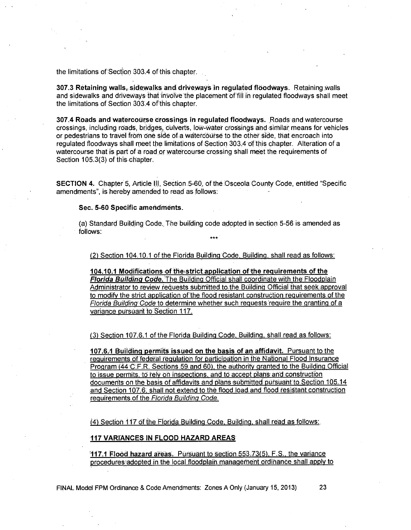the limitations of Section 303.4 of this chapter.

**307.3 Retaining walls, sidewalks and driveways in regulated flOodways.** Retaining walls and sidewalks and driveways that involve the placement of fill in regulated floodways shall meet the limitations of Section 303.4 of this chapter.

**307.4 Roads and watercourse crossings in regulated floodways.** Roads and watercourse crossings, including roads, bridges, culverts, low-water crossings and similar means for vehicles or pedestrians to travel from One side of a watercourse to the other side, that encroach into regulated floodways shall meet the limitations of Section 303.4 of this chapter. Alteration of a watercourse that is part of a road or watercourse crossing shall meet the requirements of Section 105.3(3) of this chapter.

**SECTION 4.** Chapter 5, Article III, Section 5-60, of the Osceola County Code, entitled "Specific amendments", is hereby amended to read as follows:

## **Sec. 5-60 Specific amendments.**

(a) Standard Building Code. The building code adopted in section 5-56 is amended as follows: **\*\*\*** 

(2) Section 104.10.1 of the Florida Building Code, Building, shall read as follows:

**104.10.1 Modifications of the strict application of the requirements of the Florida Building Code.** The Building Official shall coordinate with the Floodplain Administrator to review requests submitted to the Building Official that seek approval to modify the strict application of the flood resistant construction requirements of the Florida Building Code to determine whether such requests 'require the granting of a variance pUrsuant to Section 117.

(3) Section 107.6.1 of the Florida Building Code, Building, shall read as follows:

**107.6.1 Buildinq permits issued on the basis of an affidavit.** Pursuant to the requirements of federal regulation for participation in the National Flood Insurance Program (44'C.F.R. Sections 59 and 60), the authority granted to the Building Official to issue permits, to rely on inspections, and to accept plans and construction documents on the basis of affidavits and plans submitted pursuant to Section 105.14 and Section 107.6, shall not extend to the flood load and flood resistant construction requirements of the Florida Building Code.

(4) Section 117 Of the Florida Building Code, Building, shall read as follows:

**117 VARIANCES IN FLOOD HAZARD AREAS** 

**117.1 FloOd hazard areas:** Pursuant to section 553.73(5), F.S., the variance procedures adopted in the local floodplain management ordinance shall apply to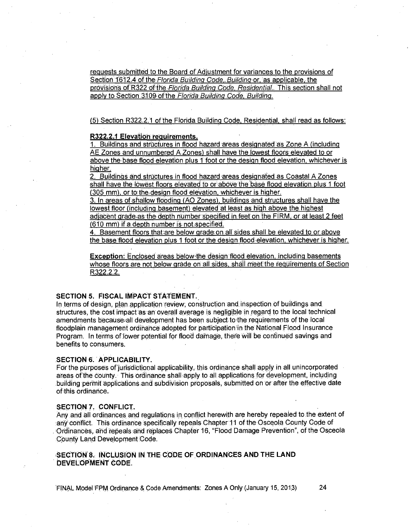requests submitted to the Board of Adiustment for variances to the provisions of Section 1612.4 of the Florida Building Code, Building or, as applicable, the provisions of R322 of the Florida Building Code, Residential. This section shall not apply to Section 3109 of the Florida Building Code, Building.

(5) Section R322.2.1 of the Florida Building Code, Residential, shall read as follows:

### **R322.2.1 Elevation requirements.**

1. Buildings ahd structures in flood hazard areas designated-as Zone A (including AE Zones and unnumbered A Zones) shall have the lowest floors' elevated to or above the base flood elevation plus 1 foot or the design flood elevation, whichever is higher.

2. Buildings and structures in flood hazard areas designated as Coastal A Zones shall have the lowest floors elevated to or above the base flood elevation plus 1 foot (305 mm), or to the design flood elevation, whichever is higher.

3. In areas of shallow flooding (AO Zones), buildings and structures shall have the lowest floor (including .basement) elevated at least as high above the highest adiacent grade as the depth number specified in feet on the FIRM, or at least 2 feet  $(610 \text{ mm})$  if a depth number is not specified.

4. Basement floors that are below grade on all sides shall be elevated to or above the base flood elevation plus 1 foot or the design flood elevation, whichever is higher.

**Exception:** Enclosed areas below the design flood elevation, including basements whose floors are not below grade on all sides, shall meet the requirements of Section R322.2.2.

## **SECTION 5. FISCAL IMPACT STATEMENT.,**

In terms of design, plan application review, construction and inspection of buildings and structures, the cost impact as an overall average is negligible in regard to the local technical amendments because all development has been subject to the requirements of the local floodplain management ordinance adopted for participation in the National Flood Insurance Program. In terms of lower potential for flood damage, there will be continued savings and benefits to consumers.

## **SECTION 6. APPLICABILITY.**

For the purposes of jurisdictionalapplicability, this ordinance Shall apply in all unincorporated areas of the county. This ordinance shall apply to all applications for development, including building permit applications and subdivision proposals, submitted on or after the effective date of this ordinance.

### SECTION 7. CONFLICT.

Any and all ordinances and regulations in conflict herewith are hereby repealed to the extent of any conflict. This ordinance specifically repeals Chapter 11 of the Osceola County Code of ,Ordinances, and repeals and replaces Chapter 16, "Flood Damage Prevention", of the Osceola County Land Development Code.

**SECTION '8. INCLUSION IN THE CODE OF ORDINANCES AND THE LAND • DEVELOPMENT CODE.**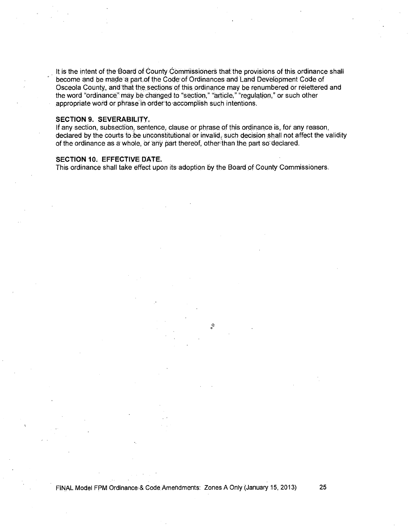It is the intent of the Board of County Commissioners that the provisions of this ordinance shall become and be made a part of the Code of Ordinances and Land Development Code of Osceola County, and that the sections of this ordinance may be renumbered or relettered and the word "ordinance" may be changed to "section," "article," "regulation," or such other appropriate word or phrase in order to accomplish such intentions.

## **SECTION 9. SEVERABILITY.**

If any section, subsection, sentence, clause or phrase of this ordinance is for any reason, declared by the courts to be unconstitutional or invalid, such decision shall not affect the validity of the ordinance as a whole, or any part thereof, other than the part so declared.

 $\alpha$ 

## **SECTION 10. EFFECTIVE DATE.**

This ordinance shall take effect upon its adoption by the Board of County Commissioners.